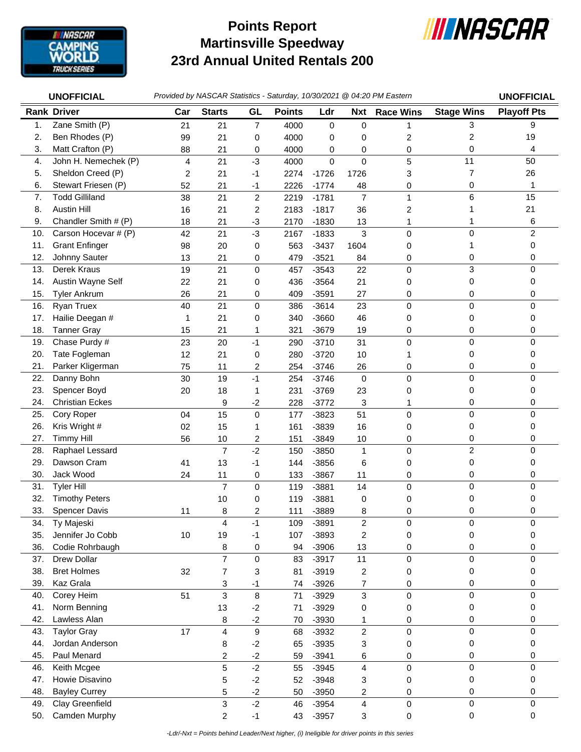

## **Martinsville Speedway 23rd Annual United Rentals 200 Points Report**



|                | <b>UNOFFICIAL</b>      |     |                         |                         |               |             |                | Provided by NASCAR Statistics - Saturday, 10/30/2021 @ 04:20 PM Eastern |                   | <b>UNOFFICIAL</b>  |
|----------------|------------------------|-----|-------------------------|-------------------------|---------------|-------------|----------------|-------------------------------------------------------------------------|-------------------|--------------------|
|                | <b>Rank Driver</b>     | Car | <b>Starts</b>           | GL                      | <b>Points</b> | Ldr         | <b>Nxt</b>     | <b>Race Wins</b>                                                        | <b>Stage Wins</b> | <b>Playoff Pts</b> |
| $\mathbf{1}$ . | Zane Smith (P)         | 21  | 21                      | 7                       | 4000          | $\mathbf 0$ | 0              | 1                                                                       | 3                 | 9                  |
| 2.             | Ben Rhodes (P)         | 99  | 21                      | 0                       | 4000          | 0           | 0              | 2                                                                       | 2                 | 19                 |
| 3.             | Matt Crafton (P)       | 88  | 21                      | 0                       | 4000          | 0           | 0              | 0                                                                       | 0                 | 4                  |
| 4.             | John H. Nemechek (P)   | 4   | 21                      | $-3$                    | 4000          | 0           | $\mathbf 0$    | 5                                                                       | 11                | 50                 |
| 5.             | Sheldon Creed (P)      | 2   | 21                      | $-1$                    | 2274          | $-1726$     | 1726           | 3                                                                       | $\overline{7}$    | 26                 |
| 6.             | Stewart Friesen (P)    | 52  | 21                      | $-1$                    | 2226          | $-1774$     | 48             | 0                                                                       | 0                 | 1                  |
| 7.             | <b>Todd Gilliland</b>  | 38  | 21                      | $\overline{\mathbf{c}}$ | 2219          | $-1781$     | $\overline{7}$ | 1                                                                       | 6                 | 15                 |
| 8.             | <b>Austin Hill</b>     | 16  | 21                      | 2                       | 2183          | $-1817$     | 36             | 2                                                                       |                   | 21                 |
| 9.             | Chandler Smith # (P)   | 18  | 21                      | $-3$                    | 2170          | $-1830$     | 13             | 1                                                                       | 1                 | 6                  |
| 10.            | Carson Hocevar # (P)   | 42  | 21                      | $-3$                    | 2167          | $-1833$     | 3              | 0                                                                       | 0                 | 2                  |
| 11.            | <b>Grant Enfinger</b>  | 98  | 20                      | 0                       | 563           | $-3437$     | 1604           | 0                                                                       | 1                 | 0                  |
| 12.            | Johnny Sauter          | 13  | 21                      | 0                       | 479           | $-3521$     | 84             | 0                                                                       | 0                 | 0                  |
| 13.            | Derek Kraus            | 19  | 21                      | 0                       | 457           | $-3543$     | 22             | 0                                                                       | 3                 | 0                  |
| 14.            | Austin Wayne Self      | 22  | 21                      | 0                       | 436           | $-3564$     | 21             | 0                                                                       | 0                 | 0                  |
| 15.            | <b>Tyler Ankrum</b>    | 26  | 21                      | 0                       | 409           | $-3591$     | 27             | 0                                                                       | 0                 | 0                  |
| 16.            | Ryan Truex             | 40  | 21                      | 0                       | 386           | $-3614$     | 23             | 0                                                                       | $\pmb{0}$         | 0                  |
| 17.            | Hailie Deegan #        | 1   | 21                      | 0                       | 340           | $-3660$     | 46             | 0                                                                       | 0                 | 0                  |
| 18.            | <b>Tanner Gray</b>     | 15  | 21                      | 1                       | 321           | $-3679$     | 19             | 0                                                                       | 0                 | 0                  |
| 19.            | Chase Purdy #          | 23  | 20                      | $-1$                    | 290           | $-3710$     | 31             | 0                                                                       | 0                 | 0                  |
| 20.            | Tate Fogleman          | 12  | 21                      | 0                       | 280           | $-3720$     | 10             |                                                                         | 0                 | 0                  |
| 21.            | Parker Kligerman       | 75  | 11                      | 2                       | 254           | $-3746$     | 26             | 0                                                                       | 0                 | 0                  |
| 22.            | Danny Bohn             | 30  | 19                      | $-1$                    | 254           | $-3746$     | $\mathbf 0$    | 0                                                                       | $\mathbf 0$       | 0                  |
| 23.            | Spencer Boyd           | 20  | 18                      | 1                       | 231           | $-3769$     | 23             | 0                                                                       | 0                 | 0                  |
| 24.            | <b>Christian Eckes</b> |     | 9                       | $-2$                    | 228           | $-3772$     | 3              | 1                                                                       | 0                 | 0                  |
| 25.            | Cory Roper             | 04  | 15                      | 0                       | 177           | $-3823$     | 51             | 0                                                                       | 0                 | 0                  |
| 26.            | Kris Wright #          | 02  | 15                      | 1                       | 161           | -3839       | 16             | 0                                                                       | 0                 | 0                  |
| 27.            | <b>Timmy Hill</b>      | 56  | 10                      | 2                       | 151           | $-3849$     | 10             | 0                                                                       | 0                 | 0                  |
| 28.            | Raphael Lessard        |     | $\overline{7}$          | $-2$                    | 150           | $-3850$     | $\mathbf{1}$   | 0                                                                       | $\overline{c}$    | 0                  |
| 29.            | Dawson Cram            | 41  | 13                      | $-1$                    | 144           | $-3856$     | 6              | 0                                                                       | 0                 | 0                  |
| 30.            | Jack Wood              | 24  | 11                      | 0                       | 133           | $-3867$     | 11             | 0                                                                       | 0                 | 0                  |
| 31.            | <b>Tyler Hill</b>      |     | $\overline{7}$          | 0                       | 119           | $-3881$     | 14             | 0                                                                       | $\mathbf 0$       | 0                  |
| 32.            | <b>Timothy Peters</b>  |     | 10                      | 0                       | 119           | $-3881$     | 0              | 0                                                                       | 0                 | 0                  |
| 33.            | Spencer Davis          | 11  | 8                       | $\overline{2}$          | 111           | -3889       | 8              | 0                                                                       | 0                 | 0                  |
| 34.            | Ty Majeski             |     | 4                       | $-1$                    | 109           | $-3891$     | $\overline{c}$ | 0                                                                       | 0                 | 0                  |
| 35.            | Jennifer Jo Cobb       | 10  | 19                      | $-1$                    | 107           | $-3893$     | 2              | 0                                                                       | 0                 | 0                  |
| 36.            | Codie Rohrbaugh        |     | 8                       | 0                       | 94            | $-3906$     | 13             | 0                                                                       | 0                 | 0                  |
| 37.            | Drew Dollar            |     | $\overline{7}$          | 0                       | 83            | $-3917$     | 11             | 0                                                                       | 0                 | 0                  |
| 38.            | <b>Bret Holmes</b>     | 32  | 7                       | 3                       | 81            | $-3919$     | 2              | 0                                                                       | 0                 | 0                  |
| 39.            | Kaz Grala              |     | 3                       | $-1$                    | 74            | $-3926$     | 7              | 0                                                                       | 0                 | 0                  |
| 40.            | Corey Heim             | 51  | 3                       | 8                       | 71            | $-3929$     | 3              | 0                                                                       | 0                 | 0                  |
| 41.            | Norm Benning           |     | 13                      | $-2$                    | 71            | $-3929$     | 0              | 0                                                                       | 0                 | 0                  |
| 42.            | Lawless Alan           |     | 8                       | $-2$                    | 70            | $-3930$     | 1              | 0                                                                       | 0                 | 0                  |
| 43.            | <b>Taylor Gray</b>     | 17  | $\overline{\mathbf{4}}$ | 9                       | 68            | $-3932$     | $\overline{c}$ | 0                                                                       | $\pmb{0}$         | 0                  |
| 44.            | Jordan Anderson        |     | 8                       | $-2$                    | 65            | $-3935$     | 3              | 0                                                                       | 0                 | 0                  |
| 45.            | Paul Menard            |     | 2                       | $-2$                    | 59            | $-3941$     | 6              | 0                                                                       | 0                 | 0                  |
| 46.            | Keith Mcgee            |     | 5                       | $-2$                    | 55            | $-3945$     | 4              | 0                                                                       | $\pmb{0}$         | $\Omega$           |
| 47.            | Howie Disavino         |     | 5                       | $-2$                    | 52            | $-3948$     | 3              | 0                                                                       | 0                 | 0                  |
| 48.            | <b>Bayley Currey</b>   |     | 5                       | $-2$                    | 50            | $-3950$     | 2              | 0                                                                       | 0                 | 0                  |
| 49.            | Clay Greenfield        |     | 3                       | $-2$                    | 46            | $-3954$     | 4              | 0                                                                       | $\pmb{0}$         | 0                  |
| 50.            | Camden Murphy          |     | $\overline{c}$          | $-1$                    | 43            | $-3957$     | 3              | 0                                                                       | $\mathbf 0$       | 0                  |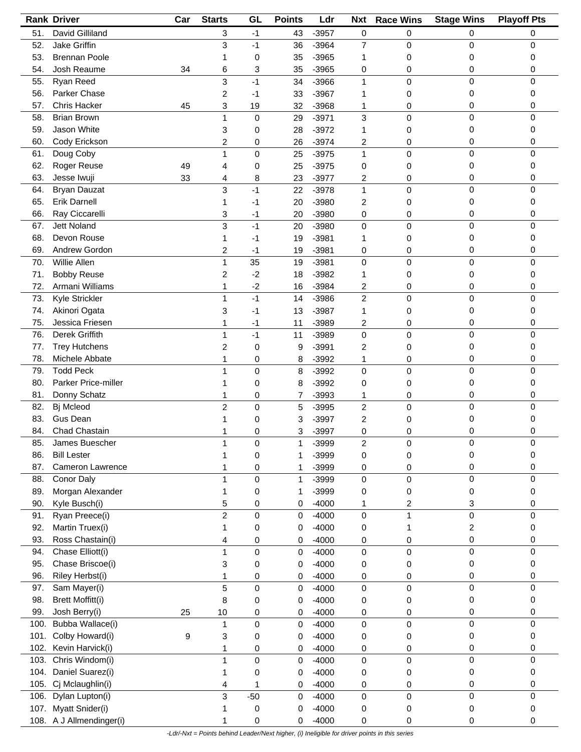|      | <b>Rank Driver</b>       | Car | <b>Starts</b>           | GL          | <b>Points</b>  | Ldr     | <b>Nxt</b>     | <b>Race Wins</b> | <b>Stage Wins</b> | <b>Playoff Pts</b> |
|------|--------------------------|-----|-------------------------|-------------|----------------|---------|----------------|------------------|-------------------|--------------------|
| 51.  | David Gilliland          |     | 3                       | $-1$        | 43             | $-3957$ | 0              | 0                | 0                 | 0                  |
| 52.  | Jake Griffin             |     | 3                       | $-1$        | 36             | $-3964$ | $\overline{7}$ | 0                | 0                 | 0                  |
| 53.  | <b>Brennan Poole</b>     |     | 1                       | 0           | 35             | $-3965$ | 1              | 0                | 0                 | 0                  |
| 54.  | Josh Reaume              | 34  | 6                       | 3           | 35             | $-3965$ | 0              | 0                | 0                 | 0                  |
| 55.  | Ryan Reed                |     | 3                       | $-1$        | 34             | $-3966$ | 1              | 0                | 0                 | 0                  |
|      |                          |     |                         |             |                |         |                |                  |                   |                    |
| 56.  | Parker Chase             |     | 2                       | -1          | 33             | $-3967$ | 1              | 0                | 0                 | 0                  |
| 57.  | <b>Chris Hacker</b>      | 45  | 3                       | 19          | 32             | $-3968$ | 1              | 0                | 0                 | 0                  |
| 58.  | <b>Brian Brown</b>       |     | 1                       | $\pmb{0}$   | 29             | $-3971$ | 3              | 0                | $\mathbf 0$       | 0                  |
| 59.  | Jason White              |     | 3                       | 0           | 28             | $-3972$ | 1              | 0                | 0                 | 0                  |
| 60.  | Cody Erickson            |     | 2                       | 0           | 26             | $-3974$ | 2              | 0                | 0                 | 0                  |
| 61.  | Doug Coby                |     | $\mathbf{1}$            | $\pmb{0}$   | 25             | $-3975$ | 1              | 0                | 0                 | 0                  |
| 62.  | Roger Reuse              | 49  | 4                       | 0           | 25             | $-3975$ | 0              | 0                | 0                 | 0                  |
| 63.  | Jesse Iwuji              | 33  | 4                       | 8           | 23             | $-3977$ | 2              | 0                | 0                 | 0                  |
| 64.  | <b>Bryan Dauzat</b>      |     | 3                       | -1          | 22             | $-3978$ | 1              | 0                | 0                 | 0                  |
| 65.  | Erik Darnell             |     | 1                       | -1          | 20             | $-3980$ | 2              | 0                | 0                 | 0                  |
| 66.  | Ray Ciccarelli           |     | 3                       | $-1$        | 20             | $-3980$ |                |                  | 0                 | 0                  |
|      | <b>Jett Noland</b>       |     |                         | $-1$        |                |         | 0              | 0                |                   | 0                  |
| 67.  |                          |     | 3                       |             | 20             | $-3980$ | 0              | 0                | 0                 |                    |
| 68.  | Devon Rouse              |     | 1                       | -1          | 19             | $-3981$ | 1              | 0                | 0                 | 0                  |
| 69.  | Andrew Gordon            |     | 2                       | $-1$        | 19             | $-3981$ | 0              | 0                | 0                 | 0                  |
| 70.  | Willie Allen             |     | $\mathbf{1}$            | 35          | 19             | $-3981$ | 0              | 0                | 0                 | 0                  |
| 71.  | <b>Bobby Reuse</b>       |     | 2                       | $-2$        | 18             | $-3982$ | 1              | 0                | 0                 | 0                  |
| 72.  | Armani Williams          |     | 1                       | $-2$        | 16             | $-3984$ | 2              | 0                | 0                 | 0                  |
| 73.  | Kyle Strickler           |     | 1                       | $-1$        | 14             | $-3986$ | $\overline{c}$ | 0                | 0                 | $\Omega$           |
| 74.  | Akinori Ogata            |     | 3                       | -1          | 13             | $-3987$ | 1              | 0                | 0                 | 0                  |
| 75.  | Jessica Friesen          |     | 1                       | $-1$        | 11             | $-3989$ | 2              | 0                | 0                 | 0                  |
| 76.  | Derek Griffith           |     | $\mathbf{1}$            | $-1$        | 11             | $-3989$ | 0              | 0                | 0                 | 0                  |
| 77.  | <b>Trey Hutchens</b>     |     | $\overline{\mathbf{c}}$ | 0           | 9              | $-3991$ | 2              | 0                | 0                 | 0                  |
| 78.  | Michele Abbate           |     | 1                       | 0           | 8              | $-3992$ | 1              | 0                | 0                 | 0                  |
|      | <b>Todd Peck</b>         |     |                         |             |                |         |                |                  | 0                 | 0                  |
| 79.  |                          |     | 1                       | $\mathbf 0$ | 8              | $-3992$ | 0              | 0                |                   |                    |
| 80.  | Parker Price-miller      |     |                         | 0           | 8              | $-3992$ | 0              | 0                | 0                 | 0                  |
| 81.  | Donny Schatz             |     | 1                       | 0           | 7              | $-3993$ | 1              | 0                | 0                 | 0                  |
| 82.  | Bj Mcleod                |     | $\overline{c}$          | $\mathbf 0$ | 5              | $-3995$ | 2              | 0                | 0                 | $\mathbf 0$        |
| 83.  | Gus Dean                 |     | 1                       | 0           | 3              | $-3997$ | 2              | 0                | 0                 | 0                  |
| 84.  | Chad Chastain            |     | 1                       | 0           | 3              | $-3997$ | 0              | 0                | 0                 | 0                  |
| 85.  | James Buescher           |     | $\overline{A}$          | 0           | $\overline{A}$ | -3999   | 2              | 0                | 0                 |                    |
| 86.  | <b>Bill Lester</b>       |     |                         | 0           | 1              | -3999   | 0              | 0                | 0                 | 0                  |
| 87.  | Cameron Lawrence         |     |                         | 0           | 1              | $-3999$ | 0              | 0                | 0                 | 0                  |
| 88.  | Conor Daly               |     | 1                       | $\pmb{0}$   | 1              | $-3999$ | 0              | 0                | $\mathbf 0$       | 0                  |
| 89.  | Morgan Alexander         |     | 1                       | 0           | 1              | $-3999$ | 0              | 0                | 0                 | 0                  |
| 90.  | Kyle Busch(i)            |     | 5                       | 0           | 0              | $-4000$ | 1              | 2                | 3                 | 0                  |
| 91.  | Ryan Preece(i)           |     | $\overline{2}$          | 0           |                | $-4000$ |                | 1                | $\mathbf 0$       | $\mathbf 0$        |
|      |                          |     |                         |             | 0              |         | 0              |                  |                   |                    |
| 92.  | Martin Truex(i)          |     | 1                       | 0           | 0              | $-4000$ | 0              | 1                | 2                 | 0                  |
| 93.  | Ross Chastain(i)         |     | 4                       | 0           | 0              | $-4000$ | 0              | 0                | 0                 | 0                  |
| 94.  | Chase Elliott(i)         |     | 1                       | $\mathbf 0$ | 0              | $-4000$ | 0              | 0                | 0                 | $\mathbf 0$        |
| 95.  | Chase Briscoe(i)         |     | 3                       | 0           | 0              | $-4000$ | 0              | 0                | 0                 | 0                  |
| 96.  | Riley Herbst(i)          |     | 1                       | 0           | 0              | $-4000$ | 0              | 0                | 0                 | 0                  |
| 97.  | Sam Mayer(i)             |     | 5                       | $\mathbf 0$ | 0              | $-4000$ | 0              | 0                | 0                 | 0                  |
| 98.  | <b>Brett Moffitt(i)</b>  |     | 8                       | 0           | 0              | $-4000$ | 0              | 0                | 0                 | 0                  |
| 99.  | Josh Berry(i)            | 25  | 10                      | 0           | 0              | $-4000$ | 0              | 0                | 0                 | 0                  |
| 100. | Bubba Wallace(i)         |     | 1                       | 0           | 0              | $-4000$ | 0              | 0                | 0                 | 0                  |
| 101. | Colby Howard(i)          | 9   | 3                       | 0           | 0              | $-4000$ | 0              | 0                | 0                 | 0                  |
| 102. | Kevin Harvick(i)         |     | 1                       | 0           | 0              | $-4000$ | 0              | 0                | 0                 | 0                  |
| 103. | Chris Windom(i)          |     |                         |             |                |         |                |                  | 0                 | 0                  |
|      |                          |     | 1                       | $\mathbf 0$ | 0              | $-4000$ | 0              | 0                |                   |                    |
| 104. | Daniel Suarez(i)         |     | 1                       | 0           | 0              | $-4000$ | 0              | 0                | 0                 | 0                  |
| 105. | Cj Mclaughlin(i)         |     | 4                       | 1           | 0              | $-4000$ | 0              | 0                | 0                 | 0                  |
| 106. | Dylan Lupton(i)          |     | 3                       | $-50$       | 0              | $-4000$ | 0              | 0                | $\boldsymbol{0}$  | 0                  |
| 107. | Myatt Snider(i)          |     | 1                       | 0           | 0              | $-4000$ | 0              | 0                | 0                 | 0                  |
|      | 108. A J Allmendinger(i) |     | 1                       | 0           | 0              | $-4000$ | 0              | 0                | 0                 | 0                  |